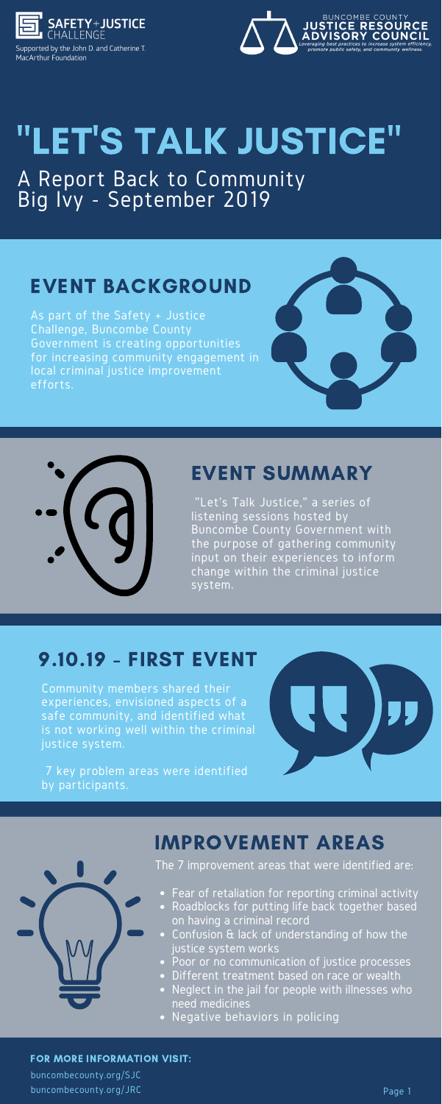

Supported by the John D. and Catherine T. MacArthur Foundation



## "LET'S TALK JUSTICE" A Report Back to Community Big Ivy - September 2019

"Let's Talk Justice," a series of listening sessions hosted by Buncombe County Government with the purpose of gathering community input on their experiences to inform change within the criminal justice system.

## EVENT SUMMARY

Community members shared their experiences, envisioned aspects of a safe community, and identified what is not working well within the criminal justice system.



7 key problem areas were identified by participants.



#### 9.10.19 - FIRST EVENT



The 7 improvement areas that were identified are:

- Fear of retaliation for reporting criminal activity
- Roadblocks for putting life back together based on having a criminal record
- Confusion & lack of understanding of how the justice system works
- Poor or no communication of justice processes
- Different treatment based on race or wealth
- Neglect in the jail for people with illnesses who need medicines
- Negative behaviors in policing

## IMPROVEMENT AREAS

#### FOR MORE INFORMATION VISIT:

buncombecounty.org/SJC buncombecounty.org/JRC

As part of the Safety + Justice Challenge, Buncombe County Government is creating opportunities for increasing community engagement in local criminal justice improvement efforts.





## EVENT BACKGROUND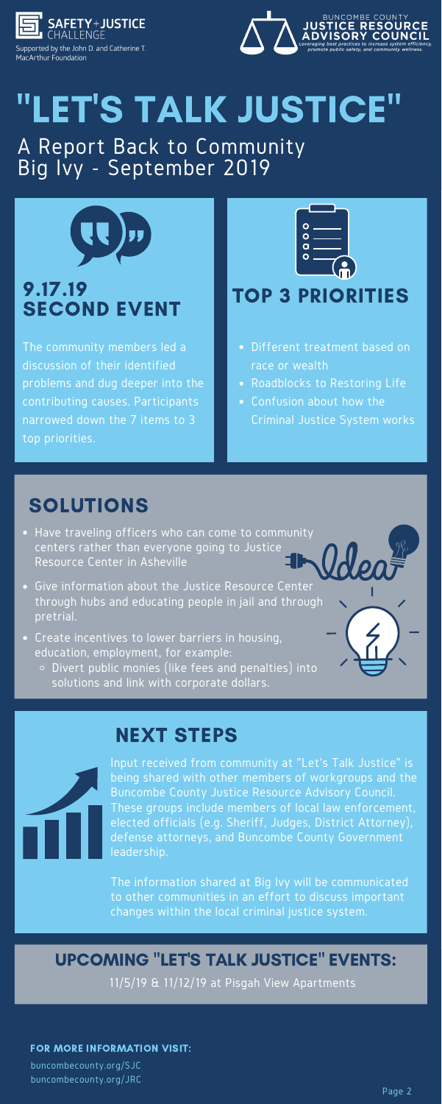

Supported by the John D. and Catherine T. MacArthur Foundation



## 9.17.19 SECOND EVENT

The community members led a discussion of their identified problems and dug deeper into the contributing causes. Participants narrowed down the 7 items to 3 top priorities.



#### TOP 3 PRIORITIES

# "LET'S TALK JUSTICE"

A Report Back to Community Big Ivy - September 2019



FOR MORE INFORMATION VISIT:

buncombecounty.org/SJC buncombecounty.org/JRC

- Have traveling officers who can come to community centers rather than everyone going to Justice Resource Center in Asheville
- Give information about the Justice Resource Center through hubs and educating people in jail and through pretrial.
- Create incentives to lower barriers in housing, education, employment, for example:
- Different treatment based on race or wealth
- Roadblocks to Restoring Life
- Confusion about how the Criminal Justice System works

## SOLUTIONS

Divert public monies (like fees and penalties) into solutions and link with corporate dollars.

## NEXT STEPS

Input received from community at "Let's Talk Justice" is being shared with other members of workgroups and the Buncombe County Justice Resource Advisory Council. These groups include members of local law enforcement, elected officials (e.g. Sheriff, Judges, District Attorney), defense attorneys, and Buncombe County Government leadership.

The information shared at Big Ivy will be communicated to other communities in an effort to discuss important changes within the local criminal justice system.

11/5/19 & 11/12/19 at Pisgah View Apartments

#### UPCOMING "LET'S TALK JUSTICE" EVENTS: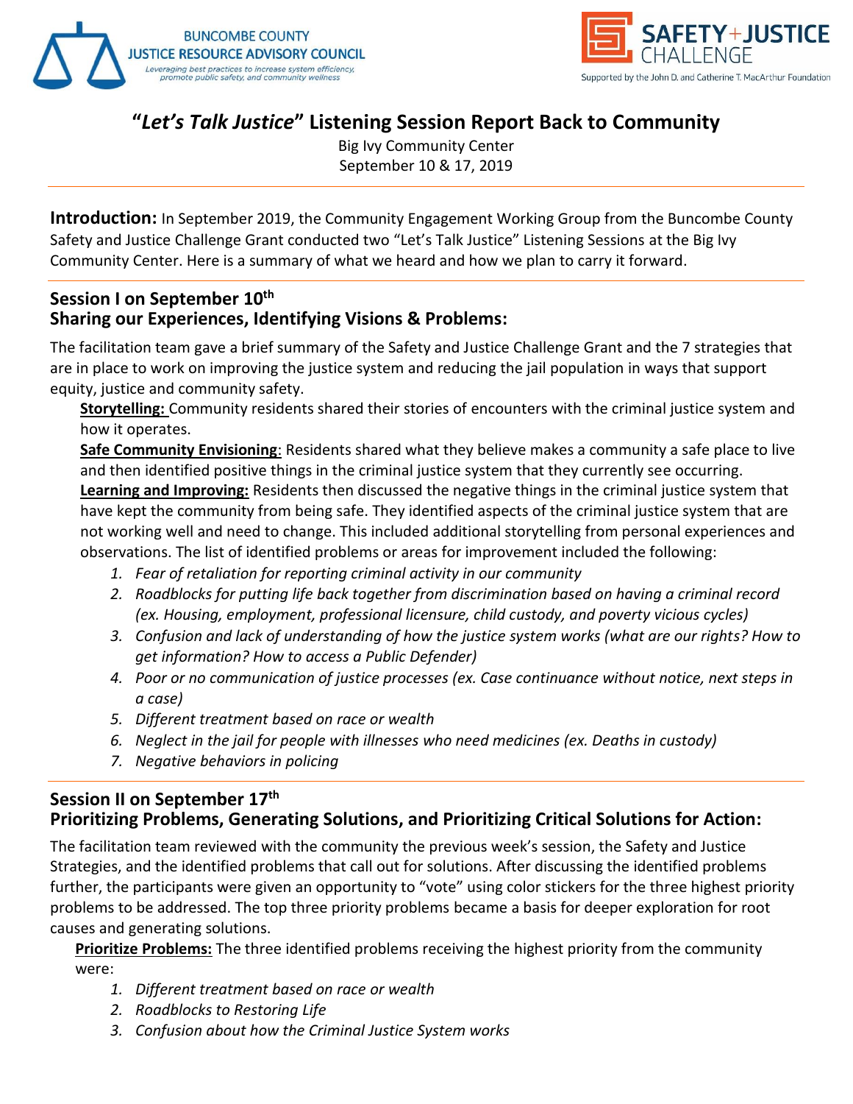



#### **"***Let's Talk Justice***" Listening Session Report Back to Community**

Big Ivy Community Center September 10 & 17, 2019

**Introduction:** In September 2019, the Community Engagement Working Group from the Buncombe County Safety and Justice Challenge Grant conducted two "Let's Talk Justice" Listening Sessions at the Big Ivy Community Center. Here is a summary of what we heard and how we plan to carry it forward.

#### **Session I on September 10th Sharing our Experiences, Identifying Visions & Problems:**

The facilitation team gave a brief summary of the Safety and Justice Challenge Grant and the 7 strategies that are in place to work on improving the justice system and reducing the jail population in ways that support equity, justice and community safety.

**Storytelling:** Community residents shared their stories of encounters with the criminal justice system and how it operates.

**Safe Community Envisioning**: Residents shared what they believe makes a community a safe place to live and then identified positive things in the criminal justice system that they currently see occurring.

**Learning and Improving:** Residents then discussed the negative things in the criminal justice system that have kept the community from being safe. They identified aspects of the criminal justice system that are not working well and need to change. This included additional storytelling from personal experiences and observations. The list of identified problems or areas for improvement included the following:

- *1. Fear of retaliation for reporting criminal activity in our community*
- *2. Roadblocks for putting life back together from discrimination based on having a criminal record (ex. Housing, employment, professional licensure, child custody, and poverty vicious cycles)*
- *3. Confusion and lack of understanding of how the justice system works (what are our rights? How to get information? How to access a Public Defender)*
- *4. Poor or no communication of justice processes (ex. Case continuance without notice, next steps in a case)*
- *5. Different treatment based on race or wealth*
- *6. Neglect in the jail for people with illnesses who need medicines (ex. Deaths in custody)*
- *7. Negative behaviors in policing*

#### **Session II on September 17th Prioritizing Problems, Generating Solutions, and Prioritizing Critical Solutions for Action:**

The facilitation team reviewed with the community the previous week's session, the Safety and Justice Strategies, and the identified problems that call out for solutions. After discussing the identified problems further, the participants were given an opportunity to "vote" using color stickers for the three highest priority problems to be addressed. The top three priority problems became a basis for deeper exploration for root causes and generating solutions.

**Prioritize Problems:** The three identified problems receiving the highest priority from the community were:

- *1. Different treatment based on race or wealth*
- *2. Roadblocks to Restoring Life*
- *3. Confusion about how the Criminal Justice System works*